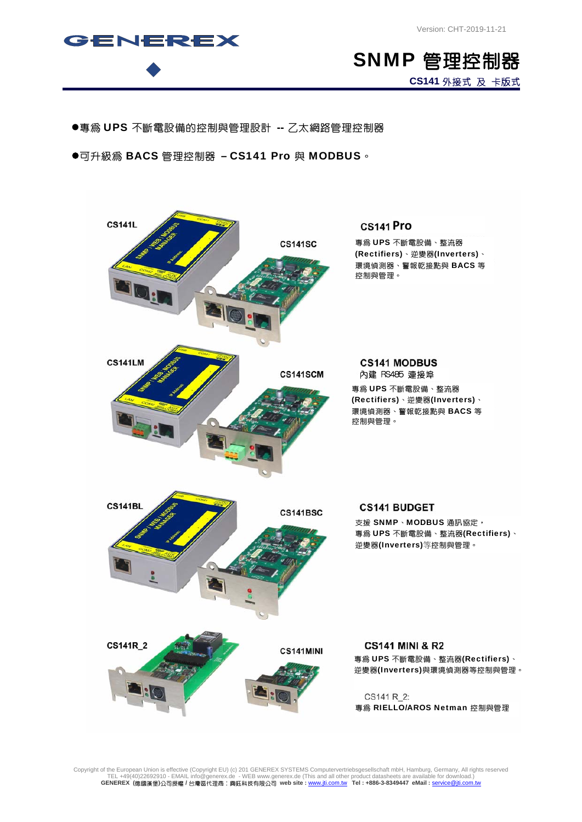



●專為 UPS 不斷電設備的控制與管理設計 -- 乙太網路管理控制器

●可升級為 BACS 管理控制器 - CS141 Pro 與 MODBUS。



Copyright of the European Union is effective (Copyright EU) (c) 201 GENEREX SYSTEMS Computervertriebsgesellschaft mbH, Hamburg, Germany, All rights reserved<br>TEL +49(40)22692910 - EMAIL info@generex.de - WEB www.generex.de **GENEREX (**德國漢堡**)**公司授權 **/** 台灣區代理商:興鈺科技有限公司 **web site :** www.jti.com.tw **Tel : +886-3-8349447 eMail :** service@jti.com.tw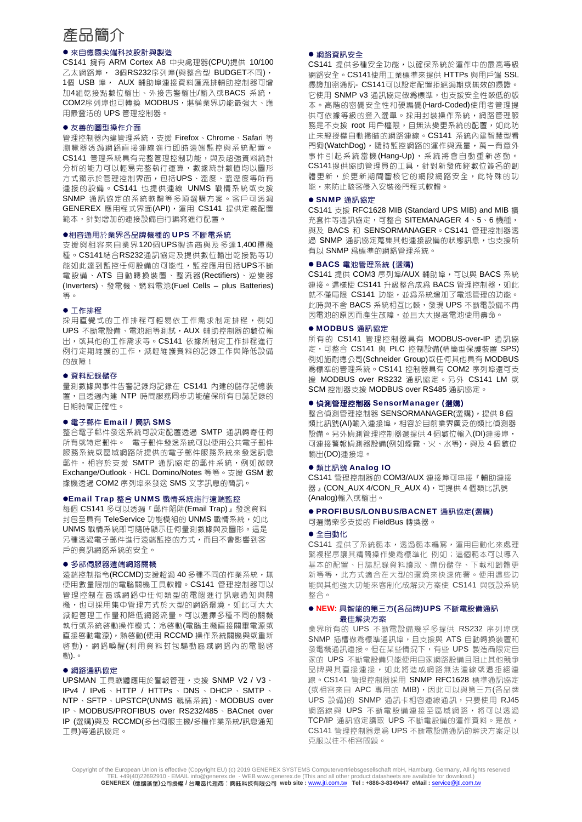# 產品簡介

# ● 來自德國尖端科技設計與製造

CS141 擁有 ARM Cortex A8 中央處理器(CPU)提供 10/100 乙太網路埠, 3個RS232序列埠(與整合型 BUDGET不同), 1個 USB 埠, AUX 輔助埠連接資料匯流排輔助控制器可增 加4組乾接點數位輸出、外接告警輸出/輸入或BACS 系統, COM2序列埠也可轉換 MODBUS,堪稱業界功能最強大、應 用最靈活的 UPS 管理控制器。

#### ● 友善的圖型操作介面

管理控制器內建管理系統,支援 Firefox、Chrome、Safari 等 瀏覽器透過網路直接連線進行即時遠端監控與系統配置。 CS141 管理系統具有完整管理控制功能,與及超強資料統計 分析的能力可以輕易完整執行運算,數據統計數值均以圖形 方式顯示於管理控制界面,包括UPS、溫度、溫溼度等所有 連接的設備。CS141 也提供連線 UNMS 戰情系統或支援 SNMP 通訊協定的系統軟體等多項選購方案。客戶可透過 GENEREX 應用程式界面(API), 運用 CS141 提供定義配置 範本,針對增加的連接設備自行編寫進行配置。

#### ●相容通用於業界各品牌機種的 UPS 不斷電系統

支援與相容來自業界120個UPS製造商與及多達1,400種機 種。CS141結合RS232通訊協定及提供數位輸出乾接點等功 能如此達到監控任何設備的可能性,監控應用包括UPS不斷 電設備、ATS 自動轉換裝置、整流器(Rectifiers)、逆變器 (Inverters)、發電機、燃料電池(Fuel Cells – plus Batteries) 等。

#### ● 工作排程

採用直覺式的工作排程可輕易依工作需求制定排程,例如 UPS 不斷電設備、電池組等測試, AUX 輔助控制器的數位輸 出,或其他的工作需求等。CS141 依據所制定工作排程進行 例行定期維護的工作,減輕維護資料的記錄工作與降低設備 的故陪!

#### ● 資料記録儲存

量測數據與事件告警記錄均記錄在 CS141 內建的儲存記憶裝 置,且透過內建 NTP 時間服務同步功能確保所有日誌記錄的 日期時間正確性。

### ● 電子郵件 Email / 簡訊 SMS

整合電子郵件發送系統可設定配置透過 SMTP 通訊轉寄任何 所有或特定郵件。 電子郵件發送系統可以使用公共電子郵件 服務系統或區域網路所提供的電子郵件服務系統來發送訊息 郵件,相容於支援 SMTP 通訊協定的郵件系統,例如微軟 Exchange/Outlook、HCL Domino/Notes 等等。支援 GSM 數 據機透過 COM2 序列埠來發送 SMS 文字訊息的簡訊。

### ●Email Trap 整合 UNMS 戰情系統進行遠端監控

每個 CS141 多可以透過『郵件陷阱(Email Trap)』發送資料 封包至具有 TeleService 功能模組的 UNMS 戰情系統, 如此 UNMS 戰情系統即可隨時顯示任何量測數據與及圖形。這是 另種透過電子郵件進行遠端監控的方式,而且不會影響到客 戶的資訊網路系統的安全。

#### ● 多部伺服器遠端網路關機

涼端控制指令(RCCMD)支援超過 40 多種不同的作業系統,無 使用數量限制的電腦關機工具軟體。CS141 管理控制器可以 管理控制在區域網路中任何類型的電腦進行訊息通知與關 機,也可採用集中管理方式於大型的網路環境,如此可大大 減輕管理工作量和降低網路流量。可以選擇多種不同的關機 執行或系統啟動操作模式:冷啟動(電腦主機直接關畢電源或 直接啓動電源),熱啓動(使用 RCCMD 操作系統關機與或重新 啟動),網路喚醒(利用資料封包驅動區域網路內的電腦啟 動).。

### ● 網路通訊協定

UPSMAN 工具軟體應用於警報管理,支援 SNMP V2 / V3、 IPv4 / IPv6 、 HTTP / HTTPs 、 DNS 、 DHCP 、 SMTP 、 NTP、SFTP、UPSTCP(UNMS 戰情系統)、MODBUS over IP、MODBUS/PROFIBUS over RS232/485、BACnet over IP (選購)與及 RCCMD(多台伺服主機/多種作業系統/訊息通知 工具)等通訊協定。

### ● 網路資訊安全

CS141 提供多種安全功能,以確保系統於運作中的最高等級 網路安全。CS141使用工業標準來提供 HTTPs 與用戶端 SSL 憑證加密通訊- CS141可以設定配置拒絕過期或無效的憑證。 它使用 SNMP v3 通訊協定做為標準,也支援安全性較低的版 本。高階的密碼安全性和硬編碼(Hard-Coded)使用者管理提 供可依據等級的登入選單。採用封裝操作系統,網路管理服 務是不支援 root 用戶權限,且無法變更系統的配置,如此防 止未經授權自動掃瞄的網路連線。CS141 系統內建智慧型看 門狗(WatchDog),隨時監控網路的運作與流量,萬一有意外 事件引起系統當機(Hang-Up),系統將會自動重新啓動。 CS141提供協助管理員的工具,針對新發佈經數位簽名的韌 體更新,於更新期間審核它的網段網路安全,此特殊的功 能,來防止駭客侵入安裝後門程式軟體。

### ● SNMP 通訊協定

CS141 支援 RFC1628 MIB (Standard UPS MIB) and MIB 擴 充套件等通訊協定,可整合 SITEMANAGER 4、5、6 機種, 與及 BACS 和 SENSORMANAGER。CS141 管理控制器透 過 SNMP 通訊協定蒐集其他連接設備的狀態訊息,也支援所 有以 SNMP 為標準的網絡管理系統。

#### ● BACS 電池管理系統 (選購)

CS141 提供 COM3 序列埠/AUX 輔助埠,可以與 BACS 系統 連接。這樣使 CS141 升級整合成為 BACS 管理控制器,如此 就不僅局限 CS141 功能,並為系統增加了電池管理的功能。 此時與不含 BACS 系統相互比較,發現 UPS 不斷電設備不再 因電池的原因而產生故障,並且大大提高電池使用壽命。

# ● MODBUS 通訊協定

所有的 CS141 管理控制器具有 MODBUS-over-IP 通訊協 定,可整合 CS141 與 PLC 控制設備(精簡型保護裝置 SPS) 例如施耐德公司(Schneider Group)或任何其他具有 MODBUS 為標準的管理系統。CS141 控制器具有 COM2 序列埠還可支 援 MODBUS over RS232 通訊協定。另外 CS141 LM 或 SCM 控制器支援 MODBUS over RS485 通訊協定。

### ● 偵測管理控制器 SensorManager (選購)

整合偵測管理控制器 SENSORMANAGER(選購),提供 8 個 類比訊號(AI)輸入連接埠,相容於目前業界廣泛的類比偵測器 設備。另外偵測管理控制器還提供 4 個數位輸入(DI)連接埠, 可連接警報偵測器設備(例如煙霧、火、水等),與及4個數位 輸出(DO)連接埠。

#### ● 類比訊號 Analog IO

CS141 管理控制器的 COM3/AUX 連接埠可串接『輔助連接 器』(CON\_AUX 4/CON\_R\_AUX 4),可提供 4 個類比訊號 (Analog)輸入或輸出。

### ● PROFIBUS/LONBUS/BACNET 通訊協定(選購)

可選購眾多支援的 FieldBus 轉換器。

### ● 全自動化

CS141 提供了系統範本,透過範本編寫,運用自動化來處理 繁複程序讓其精簡操作變爲標準化 例如;這個範本可以導入 基本的配置、日誌記錄資料讀取、備份儲存、下載和韌體更 新等等,此方式適合在大型的環境來快速佈署。使用這些功 能與其他強大功能來客制化成解決方案使 CS141 與既設系統 整合。

### ● NEW: 具智能的第三方(各品牌)UPS 不斷電設備通訊 最佳解決方案

業界所有的 UPS 不斷電設備幾乎多提供 RS232 序列埠或 SNMP 插槽做為標準通訊埠,日支援與 ATS 自動轉換裝置和 發電機通訊連接。但在某些情況下,有些 UPS 製造商限定自 家的 UPS 不斷電設備只能使用自家網路設備且阻止其他競爭 品牌與其直接連接,如此將造成網路無法連線或遭拒絕連 線。CS141 管理控制器採用 SNMP RFC1628 標準通訊協定 (或相容來自 APC 專用的 MIB), 因此可以與第三方(各品牌 UPS 設備)的 SNMP 通訊卡相容連線通訊,只要使用 RJ45 網路線與 UPS 不斷電設備連接至區域網路,將可以透過 TCP/IP 通訊協定讀取 UPS 不斷電設備的運作資料。是故, CS141 管理控制器是為 UPS 不斷電設備通訊的解決方案足以 克服以往不相容問題。

Copyright of the European Union is effective (Copyright EU) (c) 2019 GENEREX SYSTEMS Computervertriebsgesellschaft mbH, Hamburg, Germany, All rights reserved<br>TEL +49(40)22692910 - EMAIL info@generex.de - WEB www.generex.de **GENEREX (**德國漢堡**)**公司授權 **/** 台灣區代理商:興鈺科技有限公司 **web site :** www.jti.com.tw **Tel : +886-3-8349447 eMail :** service@jti.com.tw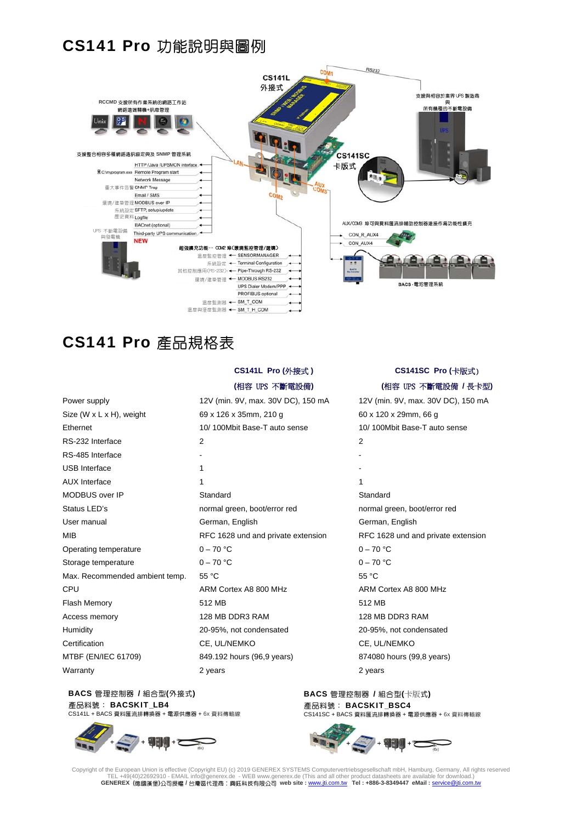# CS141 Pro 功能說明與圖例



# CS141 Pro 產品規格表

|                                       | <b>OUITIL I IV (기顶火)</b>           |                 |  |
|---------------------------------------|------------------------------------|-----------------|--|
|                                       | (相容 UPS 不斷電設備)                     | (相)             |  |
| Power supply                          | 12V (min. 9V, max. 30V DC), 150 mA | 12V (min.       |  |
| Size $(W \times L \times H)$ , weight | 69 x 126 x 35mm, 210 g             | $60 \times 120$ |  |
| Ethernet                              | 10/100Mbit Base-T auto sense       | 10/100M         |  |
| RS-232 Interface                      | 2                                  | 2               |  |
| RS-485 Interface                      | ٠                                  |                 |  |
| <b>USB</b> Interface                  | 1                                  |                 |  |
| <b>AUX</b> Interface                  | 1                                  | 1               |  |
| MODBUS over IP                        | Standard                           | Standard        |  |
| Status LED's                          | normal green, boot/error red       | normal gre      |  |
| User manual                           | German, English                    | German, I       |  |
| <b>MIB</b>                            | RFC 1628 und and private extension | <b>RFC 1628</b> |  |
| Operating temperature                 | $0 - 70 °C$                        | $0 - 70 °C$     |  |
| Storage temperature                   | $0 - 70$ °C                        | $0 - 70 °C$     |  |
| Max. Recommended ambient temp.        | 55 °C                              | 55 °C           |  |
| CPU                                   | ARM Cortex A8 800 MHz              | <b>ARM Cort</b> |  |
| Flash Memory                          | 512 MB                             | 512 MB          |  |
| Access memory                         | 128 MB DDR3 RAM                    | 128 MB D        |  |
| Humidity                              | 20-95%, not condensated            | 20-95%, r       |  |
| Certification                         | CE, UL/NEMKO                       | CE, UL/N        |  |
| MTBF (EN/IEC 61709)                   | 849.192 hours (96,9 years)         | 874080 ho       |  |
| Warranty                              | 2 years                            | 2 years         |  |

# **CS141L Pro (**外接式 **)**

### **(**相容 UPS 不斷電設備**)**

69 x 126 x 35mm, 210 g 60 x 120 x 29mm, 66 g 10/ 100Mbit Base-T auto sense 10/ 100Mbit Base-T auto sense normal green, boot/error red normal green, boot/error red German, English German, English ARM Cortex A8 800 MHz ARM Cortex A8 800 MHz 128 MB DDR3 RAM 128 MB DDR3 RAM Humidity 20-95%, not condensated 20-95%, not condensated CE, UL/NEMKO CE, UL/NEMKO 849.192 hours (96,9 years) 874080 hours (99,8 years)

### BACS 管理控制器 / 組合型(外接式) 產品料號: BACSKIT LB4 CS141L + BACS 資料匯流排轉換器 + 電源供應器 + 6x 資料傳輸線

BACS 管理控制器 / 組合型(卡版式) 產品料號: BACSKIT\_BSC4 CS141SC + BACS 資料匯流排轉換器 + 電源供應器 + 6x 資料傳輸線



Copyright of the European Union is effective (Copyright EU) (c) 2019 GENEREX SYSTEMS Computervertriebsgesellschaft mbH, Hamburg, Germany, All rights reserved<br>TEL +49(40)22692910 - EMAIL info@generex.de - WEB www.generex.de **GENEREX (**德國漢堡**)**公司授權 **/** 台灣區代理商:興鈺科技有限公司 **web site :** www.jti.com.tw **Tel : +886-3-8349447 eMail :** service@jti.com.tw

# **CS141SC Pro (**卡版式)

# **(**相容 UPS 不斷電設備 **/** 長卡型**)**

12V (min. 9V, max. 30V DC), 150 mA 12V (min. 9V, max. 30V DC), 150 mA RFC 1628 und and private extension RFC 1628 und and private extension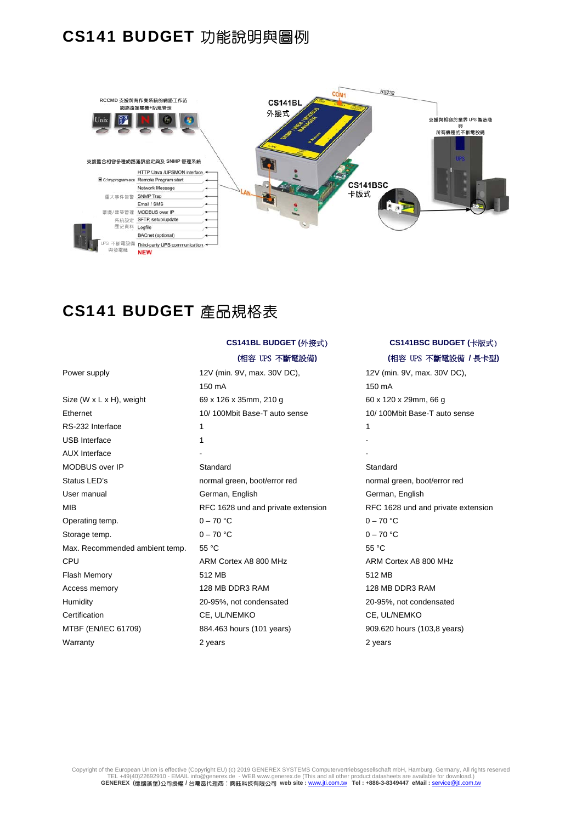# CS141 BUDGET 功能說明與圖例



# CS141 BUDGET 產品規格表

|                                       | 150 mA                             | 150 mA          |
|---------------------------------------|------------------------------------|-----------------|
| Size $(W \times L \times H)$ , weight | 69 x 126 x 35mm, 210 g             | 60 x 120 x      |
| Ethernet                              | 10/100Mbit Base-T auto sense       | 10/100MI        |
| RS-232 Interface                      | 1                                  | 1               |
| <b>USB</b> Interface                  | 1                                  |                 |
| <b>AUX Interface</b>                  |                                    |                 |
| MODBUS over IP                        | Standard                           | Standard        |
| Status LED's                          | normal green, boot/error red       | normal gre      |
| User manual                           | German, English                    | German, I       |
| MIB                                   | RFC 1628 und and private extension | <b>RFC 1628</b> |
| Operating temp.                       | $0 - 70 °C$                        | $0 - 70 °C$     |
| Storage temp.                         | $0 - 70 °C$                        | $0 - 70 °C$     |
| Max. Recommended ambient temp.        | 55 °C                              | 55 °C           |
| <b>CPU</b>                            | ARM Cortex A8 800 MHz              | <b>ARM Cort</b> |
| Flash Memory                          | 512 MB                             | 512 MB          |
| Access memory                         | 128 MB DDR3 RAM                    | 128 MB D        |
| Humidity                              | 20-95%, not condensated            | 20-95%, r       |
| Certification                         | CE, UL/NEMKO                       | CE, UL/N        |
| MTBF (EN/IEC 61709)                   | 884.463 hours (101 years)          | 909.620 h       |
| <b>Warranty</b>                       | 2 years                            | 2 vears         |

# **CS141BL BUDGET (**外接式)

# **(**相容 UPS 不斷電設備**)**

Power supply 12V (min. 9V, max. 30V DC), 150 mA 69 x 126 x 35mm, 210 g 60 x 120 x 29mm, 66 g 10/ 100Mbit Base-T auto sense 10/ 100Mbit Base-T auto sense normal green, boot/error red normal green, boot/error red German, English German, English ARM Cortex A8 800 MHz ARM Cortex A8 800 MHz 128 MB DDR3 RAM 128 MB DDR3 RAM 20-95%, not condensated 20-95%, not condensated CE, UL/NEMKO CE, UL/NEMKO 884.463 hours (101 years) 909.620 hours (103,8 years) Warranty 2 years 2 years

# **CS141BSC BUDGET (**卡版式)

# **(**相容 UPS 不斷電設備 **/** 長卡型**)**

12V (min. 9V, max. 30V DC), 150 mA RFC 1628 und and private extension RFC 1628 und and private extension

Copyright of the European Union is effective (Copyright EU) (c) 2019 GENEREX SYSTEMS Computervertriebsgesellschaft mbH, Hamburg, Germany, All rights reserved<br>TEL +49(40)22692910 - EMAIL info@generex.de - WEB www.generex.de **GENEREX (**德國漢堡**)**公司授權 **/** 台灣區代理商:興鈺科技有限公司 **web site :** www.jti.com.tw **Tel : +886-3-8349447 eMail :** service@jti.com.tw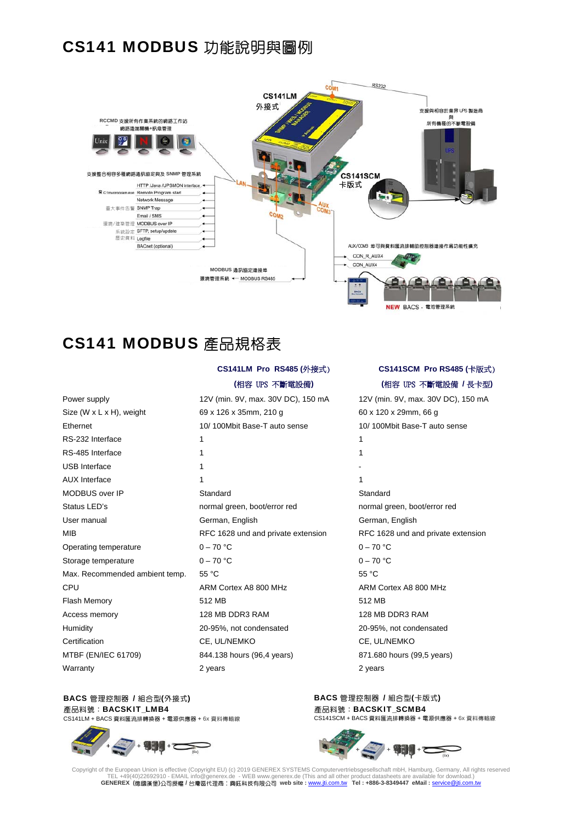# CS141 MODBUS 功能說明與圖例



# CS141 MODBUS 產品規格表

| Power supply                   |
|--------------------------------|
| Size (W $x$ L $x$ H), weight   |
| Ethernet                       |
| RS-232 Interface               |
| RS-485 Interface               |
| USB Interface                  |
| AUX Interface                  |
| MODBUS over IP                 |
| Status LED's                   |
| User manual                    |
| MIB                            |
| Operating temperature          |
| Storage temperature            |
| Max. Recommended ambient temp. |
| CPU                            |
| <b>Flash Memory</b>            |
| Access memory                  |
| Humidity                       |
| Certification                  |
| MTBF (EN/IEC 61709)            |
| <b>Warranty</b>                |

# **CS141LM Pro RS485 (**外接式)

### **(**相容 UPS 不斷電設備**)**

69 x 126 x 35mm, 210 g 60 x 120 x 29mm, 66 g 10/ 100Mbit Base-T auto sense 10/ 100Mbit Base-T auto sense RS-232 Interface 1 1 RS-485 Interface 1 1 USB Interface and the set of the set of the set of the set of the set of the set of the set of the set of the set of the set of the set of the set of the set of the set of the set of the set of the set of the set of the se AUX Interface and the contract of the contract of the contract of the contract of the contract of the contract of the contract of the contract of the contract of the contract of the contract of the contract of the contract Standard Standard Standard Standard Standard Standard Standard Standard Standard Standard Standard Standard Standard Standard Standard Standard Standard Standard Standard Standard Standard Standard Standard Standard Standa normal green, boot/error red normal green, boot/error red German, English German, English Operating temperature  $0 - 70$  °C 0 – 70 °C Storage temperature  $0 - 70$  °C  $0 - 70$  °C Max. Recommended ambient temp. 55 °C 55 °C 55 °C 55 °C 55 °C 55 °C 55 °C 55 °C 55 °C ARM Cortex A8 800 MHz ARM Cortex A8 800 MHz Flash Memory 512 MB 512 MB 128 MB DDR3 RAM 128 MB DDR3 RAM Humidity 20-95%, not condensated 20-95%, not condensated CE, UL/NEMKO CE, UL/NEMKO 844.138 hours (96,4 years) 871.680 hours (99,5 years) Warranty 2 years 2 years 2 years 2 years 2 years 2 years 2 years 2 years 2 years 2 years 2 years 2 years 2 years 2 years 2 years 2 years 2 years 2 years 2 years 2 years 2 years 2 years 2 years 2 years 2 years 2 years 2 yea

### BACS 管理控制器 / 組合型(外接式) 產品料號:BACSKIT\_LMB4 CS141LM + BACS 資料匯流排轉換器 + 電源供應器 + 6x 資料傳輸線







Copyright of the European Union is effective (Copyright EU) (c) 2019 GENEREX SYSTEMS Computervertriebsgesellschaft mbH, Hamburg, Germany, All rights reserved<br>TEL +49(40)22692910 - EMAIL info@generex.de - WEB www.generex.de **GENEREX (**德國漢堡**)**公司授權 **/** 台灣區代理商:興鈺科技有限公司 **web site :** www.jti.com.tw **Tel : +886-3-8349447 eMail :** service@jti.com.tw

# **CS141SCM Pro RS485 (**卡版式) **(**相容 UPS 不斷電設備 **/** 長卡型**)**

12V (min. 9V, max. 30V DC), 150 mA 12V (min. 9V, max. 30V DC), 150 mA RFC 1628 und and private extension RFC 1628 und and private extension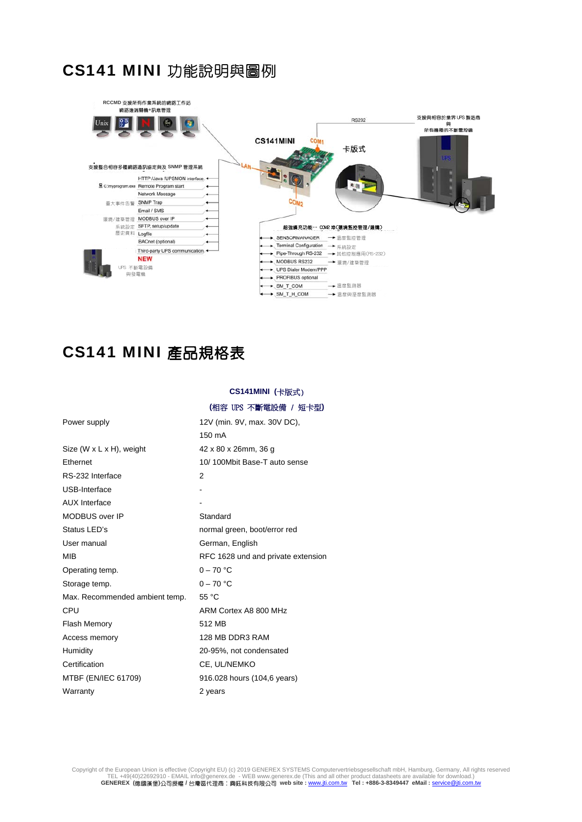# CS141 MINI 功能說明與圖例



# CS141 MINI 產品規格表

**CS141MINI (**卡版式)

|                                | (相容 UPS 不斷電設備 / 短卡型)               |  |  |
|--------------------------------|------------------------------------|--|--|
| Power supply                   | 12V (min. 9V, max. 30V DC),        |  |  |
|                                | 150 mA                             |  |  |
| Size (W $x$ L $x$ H), weight   | 42 x 80 x 26mm, 36 g               |  |  |
| Ethernet                       | 10/100Mbit Base-T auto sense       |  |  |
| RS-232 Interface               | 2                                  |  |  |
| USB-Interface                  |                                    |  |  |
| <b>AUX</b> Interface           |                                    |  |  |
| MODBUS over IP                 | Standard                           |  |  |
| Status LED's                   | normal green, boot/error red       |  |  |
| User manual                    | German, English                    |  |  |
| <b>MIB</b>                     | RFC 1628 und and private extension |  |  |
| Operating temp.                | $0 - 70$ °C                        |  |  |
| Storage temp.                  | $0 - 70 °C$                        |  |  |
| Max. Recommended ambient temp. | 55 °C                              |  |  |
| CPU                            | ARM Cortex A8 800 MHz              |  |  |
| <b>Flash Memory</b>            | 512 MB                             |  |  |
| Access memory                  | 128 MB DDR3 RAM                    |  |  |
| Humidity                       | 20-95%, not condensated            |  |  |
| Certification                  | CE, UL/NEMKO                       |  |  |
| MTBF (EN/IEC 61709)            | 916.028 hours (104,6 years)        |  |  |
| Warranty                       | 2 years                            |  |  |

Copyright of the European Union is effective (Copyright EU) (c) 2019 GENEREX SYSTEMS Computervertriebsgesellschaft mbH, Hamburg, Germany, All rights reserved<br>TEL +49(40)22692910 - EMAIL info@generex.de - WEB www.generex.de **GENEREX (**德國漢堡**)**公司授權 **/** 台灣區代理商:興鈺科技有限公司 **web site :** www.jti.com.tw **Tel : +886-3-8349447 eMail :** service@jti.com.tw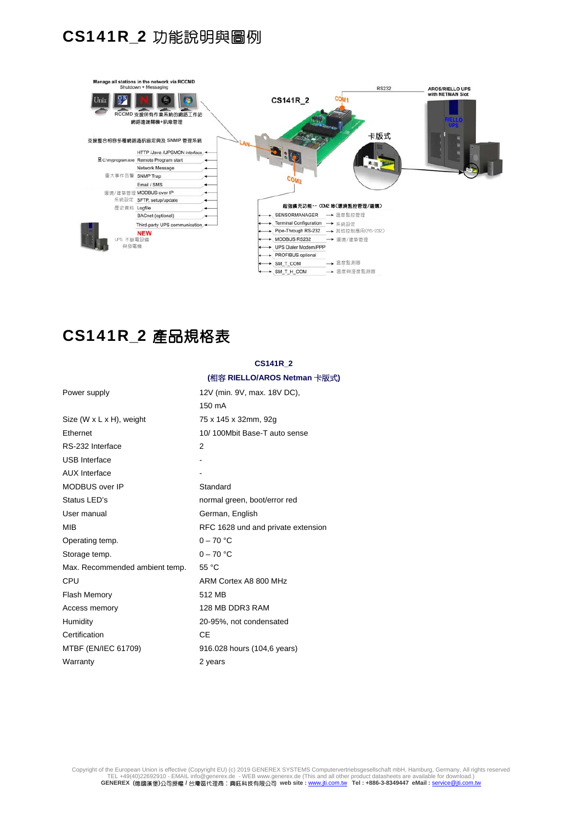# CS141R\_2 功能說明與圖例



# CS141R\_2 產品規格表

# **CS141R\_2**

### **(**相容 **RIELLO/AROS Netman** 卡版式**)**

| Power supply                          | 12V (min. 9V, max. 18V DC),        |  |  |
|---------------------------------------|------------------------------------|--|--|
|                                       | 150 mA                             |  |  |
| Size $(W \times L \times H)$ , weight | 75 x 145 x 32mm, 92g               |  |  |
| Ethernet                              | 10/100Mbit Base-T auto sense       |  |  |
| RS-232 Interface                      | 2                                  |  |  |
| <b>USB</b> Interface                  |                                    |  |  |
| <b>AUX</b> Interface                  |                                    |  |  |
| MODBUS over IP                        | Standard                           |  |  |
| Status LED's                          | normal green, boot/error red       |  |  |
| User manual                           | German, English                    |  |  |
| MIB                                   | RFC 1628 und and private extension |  |  |
| Operating temp.                       | $0 - 70 °C$                        |  |  |
| Storage temp.                         | $0 - 70 °C$                        |  |  |
| Max. Recommended ambient temp.        | 55 °C                              |  |  |
| CPU                                   | ARM Cortex A8 800 MHz              |  |  |
| <b>Flash Memory</b>                   | 512 MB                             |  |  |
| Access memory                         | 128 MB DDR3 RAM                    |  |  |
| Humidity                              | 20-95%, not condensated            |  |  |
| Certification                         | CF                                 |  |  |
| MTBF (EN/IEC 61709)                   | 916.028 hours (104,6 years)        |  |  |
| Warrantv                              | 2 years                            |  |  |

Copyright of the European Union is effective (Copyright EU) (c) 2019 GENEREX SYSTEMS Computervertriebsgesellschaft mbH, Hamburg, Germany, All rights reserved<br>TEL +49(40)22692910 - EMAIL info@generex.de - WEB www.generex.de **GENEREX (**德國漢堡**)**公司授權 **/** 台灣區代理商:興鈺科技有限公司 **web site :** www.jti.com.tw **Tel : +886-3-8349447 eMail :** service@jti.com.tw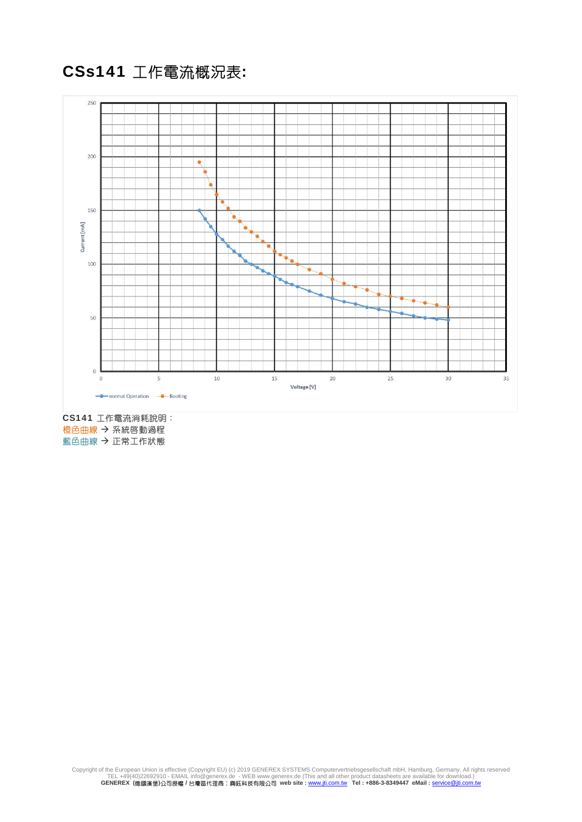CSs141 工作電流概況表:



CS141 工作電流消耗說明: 橙色曲線 → 系統啓動過程 藍色曲線 → 正常工作状態